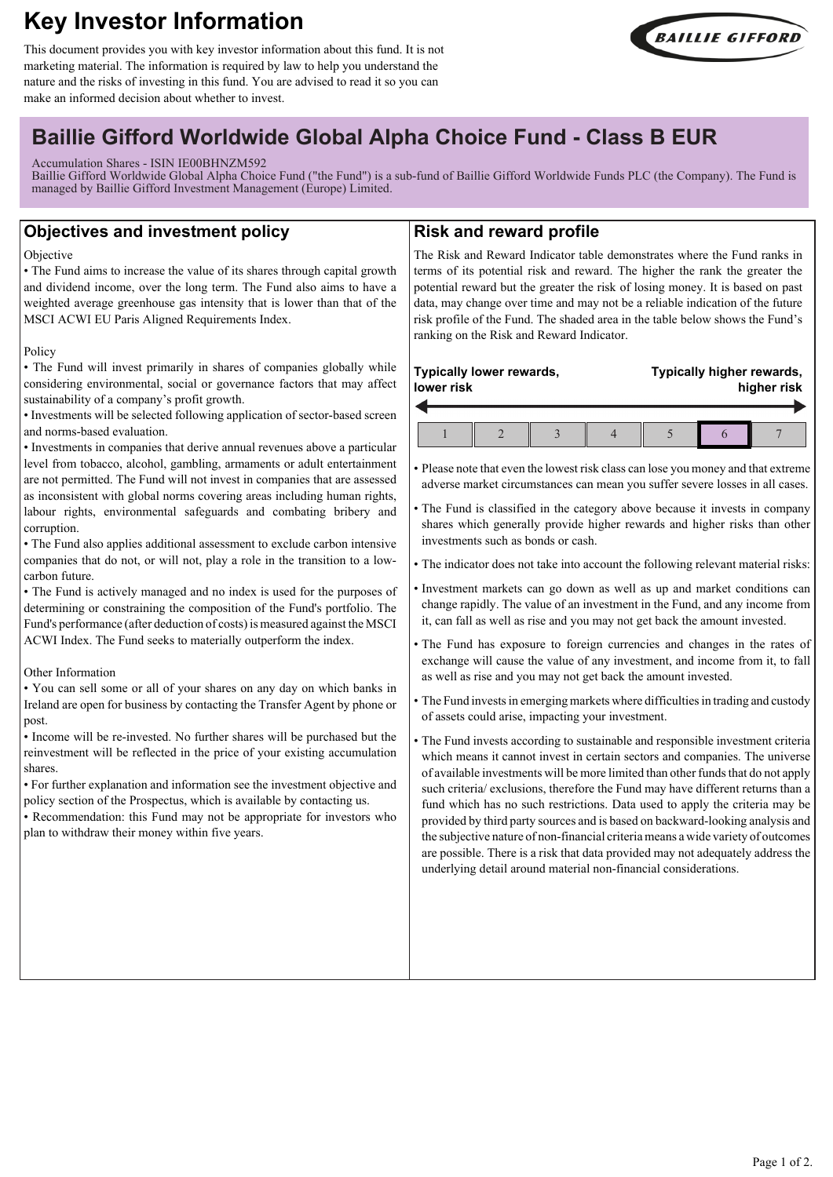# **Key Investor Information**

This document provides you with key investor information about this fund. It is not marketing material. The information is required by law to help you understand the nature and the risks of investing in this fund. You are advised to read it so you can make an informed decision about whether to invest.



## **Baillie Gifford Worldwide Global Alpha Choice Fund - Class B EUR**

### Accumulation Shares - ISIN IE00BHNZM592

Baillie Gifford Worldwide Global Alpha Choice Fund ("the Fund") is a sub-fund of Baillie Gifford Worldwide Funds PLC (the Company). The Fund is managed by Baillie Gifford Investment Management (Europe) Limited.

## **Objectives and investment policy**

#### **Objective**

• The Fund aims to increase the value of its shares through capital growth and dividend income, over the long term. The Fund also aims to have a weighted average greenhouse gas intensity that is lower than that of the MSCI ACWI EU Paris Aligned Requirements Index.

#### Policy

• The Fund will invest primarily in shares of companies globally while considering environmental, social or governance factors that may affect sustainability of a company's profit growth.

• Investments will be selected following application of sector-based screen and norms-based evaluation.

• Investments in companies that derive annual revenues above a particular level from tobacco, alcohol, gambling, armaments or adult entertainment are not permitted. The Fund will not invest in companies that are assessed as inconsistent with global norms covering areas including human rights, labour rights, environmental safeguards and combating bribery and corruption.

• The Fund also applies additional assessment to exclude carbon intensive companies that do not, or will not, play a role in the transition to a lowcarbon future.

• The Fund is actively managed and no index is used for the purposes of determining or constraining the composition of the Fund's portfolio. The Fund's performance (after deduction of costs) is measured against the MSCI ACWI Index. The Fund seeks to materially outperform the index.

#### Other Information

• You can sell some or all of your shares on any day on which banks in Ireland are open for business by contacting the Transfer Agent by phone or post.

• Income will be re-invested. No further shares will be purchased but the reinvestment will be reflected in the price of your existing accumulation shares.

• For further explanation and information see the investment objective and policy section of the Prospectus, which is available by contacting us.

• Recommendation: this Fund may not be appropriate for investors who plan to withdraw their money within five years.

## **Risk and reward profile**

The Risk and Reward Indicator table demonstrates where the Fund ranks in terms of its potential risk and reward. The higher the rank the greater the potential reward but the greater the risk of losing money. It is based on past data, may change over time and may not be a reliable indication of the future risk profile of the Fund. The shaded area in the table below shows the Fund's ranking on the Risk and Reward Indicator.

#### **Typically lower rewards, lower risk**  $\overline{\phantom{a}}$

**Typically higher rewards, higher risk**

• Please note that even the lowest risk class can lose you money and that extreme adverse market circumstances can mean you suffer severe losses in all cases.

• The Fund is classified in the category above because it invests in company shares which generally provide higher rewards and higher risks than other investments such as bonds or cash.

• The indicator does not take into account the following relevant material risks:

- Investment markets can go down as well as up and market conditions can change rapidly. The value of an investment in the Fund, and any income from it, can fall as well as rise and you may not get back the amount invested.
- The Fund has exposure to foreign currencies and changes in the rates of exchange will cause the value of any investment, and income from it, to fall as well as rise and you may not get back the amount invested.
- The Fund invests in emerging markets where difficulties in trading and custody of assets could arise, impacting your investment.

• The Fund invests according to sustainable and responsible investment criteria which means it cannot invest in certain sectors and companies. The universe of available investments will be more limited than other funds that do not apply such criteria/ exclusions, therefore the Fund may have different returns than a fund which has no such restrictions. Data used to apply the criteria may be provided by third party sources and is based on backward-looking analysis and the subjective nature of non-financial criteria means a wide variety of outcomes are possible. There is a risk that data provided may not adequately address the underlying detail around material non-financial considerations.